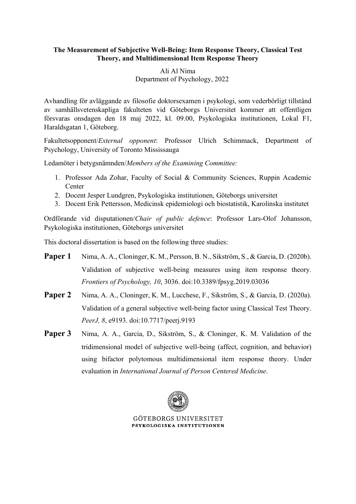## **The Measurement of Subjective Well-Being: Item Response Theory, Classical Test Theory, and Multidimensional Item Response Theory**

## Ali Al Nima Department of Psychology, 2022

Avhandling för avläggande av filosofie doktorsexamen i psykologi, som vederbörligt tillstånd av samhällsvetenskapliga fakulteten vid Göteborgs Universitet kommer att offentligen försvaras onsdagen den 18 maj 2022, kl. 09.00, Psykologiska institutionen, Lokal F1, Haraldsgatan 1, Göteborg.

Fakultetsopponent/*External opponent*: Professor Ulrich Schimmack, Department of Psychology, University of Toronto Mississauga

Ledamöter i betygsnämnden/*Members of the Examining Committee:*

- 1. Professor Ada Zohar, Faculty of Social & Community Sciences, Ruppin Academic Center
- 2. Docent Jesper Lundgren, Psykologiska institutionen, Göteborgs universitet
- 3. Docent Erik Pettersson, Medicinsk epidemiologi och biostatistik, Karolinska institutet

Ordförande vid disputationen/*Chair of public defence*: Professor Lars-Olof Johansson, Psykologiska institutionen, Göteborgs universitet

This doctoral dissertation is based on the following three studies:

- **Paper 1** Nima, A. A., Cloninger, K. M., Persson, B. N., Sikström, S., & Garcia, D. (2020b). Validation of subjective well-being measures using item response theory. *Frontiers of Psychology, 10*, 3036. doi:10.3389/fpsyg.2019.03036
- **Paper 2** Nima, A. A., Cloninger, K. M., Lucchese, F., Sikström, S., & Garcia, D. (2020a). Validation of a general subjective well-being factor using Classical Test Theory. *PeerJ, 8*, e9193. doi:10.7717/peerj.9193
- **Paper 3** Nima, A. A., Garcia, D., Sikström, S., & Cloninger, K. M. Validation of the tridimensional model of subjective well-being (affect, cognition, and behavior) using bifactor polytomous multidimensional item response theory. Under evaluation in *International Journal of Person Centered Medicine*.



**GÖTERORGS UNIVERSITET** PSYKOLOGISKA INSTITUTIONEN